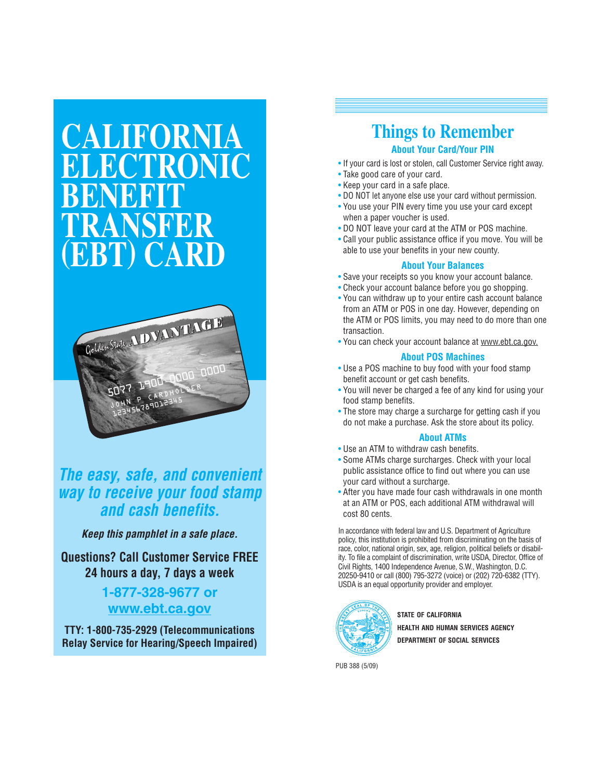# **CALIFORNIA ELECTRONIC BENEFIT TRANSFER (EBT) CARD**



### *The easy, safe, and convenient way to receive your food stamp and cash benefits.*

*Keep this pamphlet in a safe place.*

### **Questions? Call Customer Service FREE 24 hours a day, 7 days a week**

### **1-877-328-9677 or www.ebt.ca.gov**

**TTY: 1-800-735-2929 (Telecommunications Relay Service for Hearing/Speech Impaired)**

### **Things to Remember About Your Card/Your PIN**

- If your card is lost or stolen, call Customer Service right away.
- Take good care of your card.
- Keep your card in a safe place.
- DO NOT let anyone else use your card without permission.
- You use your PIN every time you use your card except when a paper voucher is used.
- DO NOT leave your card at the ATM or POS machine.
- Call your public assistance office if you move. You will be able to use your benefits in your new county.

#### **About Your Balances**

- Save your receipts so you know your account balance.
- Check your account balance before you go shopping.
- You can withdraw up to your entire cash account balance from an ATM or POS in one day. However, depending on the ATM or POS limits, you may need to do more than one transaction.
- You can check your account balance at www.ebt.ca.gov.

#### **About POS Machines**

- Use a POS machine to buy food with your food stamp benefit account or get cash benefits.
- You will never be charged a fee of any kind for using your food stamp benefits.
- The store may charge a surcharge for getting cash if you do not make a purchase. Ask the store about its policy.

#### **About ATMs**

- Use an ATM to withdraw cash benefits.
- Some ATMs charge surcharges. Check with your local public assistance office to find out where you can use your card without a surcharge.
- After you have made four cash withdrawals in one month at an ATM or POS, each additional ATM withdrawal will cost 80 cents.

In accordance with federal law and U.S. Department of Agriculture policy, this institution is prohibited from discriminating on the basis of race, color, national origin, sex, age, religion, political beliefs or disability. To file a complaint of discrimination, write USDA, Director, Office of Civil Rights, 1400 Independence Avenue, S.W., Washington, D.C. 20250-9410 or call (800) 795-3272 (voice) or (202) 720-6382 (TTY). USDA is an equal opportunity provider and employer.



**STATE OF CALIFORNIA HEALTH AND HUMAN SERVICES AGENCY DEPARTMENT OF SOCIAL SERVICES**

PUB 388 (5/09)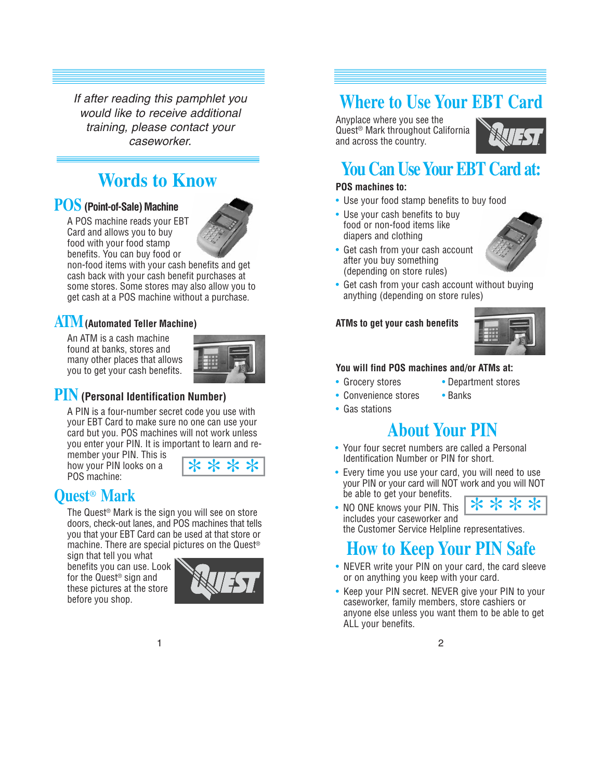If after reading this pamphlet you would like to receive additional training, please contact your caseworker.

# **Words to Know**

### **POS (Point-of-Sale) Machine**

A POS machine reads your EBT Card and allows you to buy food with your food stamp benefits. You can buy food or



non-food items with your cash benefits and get cash back with your cash benefit purchases at some stores. Some stores may also allow you to get cash at a POS machine without a purchase.

### **ATM(Automated Teller Machine)**

An ATM is a cash machine found at banks, stores and many other places that allows you to get your cash benefits.



### **PIN (Personal Identification Number)**

A PIN is a four-number secret code you use with your EBT Card to make sure no one can use your card but you. POS machines will not work unless you enter your PIN. It is important to learn and re-

member your PIN. This is how your PIN looks on a POS machine:

|  | ÷. |  |
|--|----|--|
|  |    |  |

### **Quest**® **Mark**

The Quest® Mark is the sign you will see on store doors, check-out lanes, and POS machines that tells you that your EBT Card can be used at that store or machine. There are special pictures on the Quest®

sign that tell you what benefits you can use. Look for the Quest® sign and these pictures at the store before you shop.



# **Where to Use Your EBT Card**

Anyplace where you see the Quest® Mark throughout California and across the country.



### **You Can Use Your EBT Card at:**

#### **POS machines to:**

- Use your food stamp benefits to buy food
- Use your cash benefits to buy food or non-food items like diapers and clothing
- Get cash from your cash account after you buy something (depending on store rules)
- Get cash from your cash account without buying anything (depending on store rules)

#### **ATMs to get your cash benefits**



#### **You will find POS machines and/or ATMs at:**

- Grocery stores Department stores
- Convenience stores Banks
	-
- Gas stations

# **About Your PIN**

- Your four secret numbers are called a Personal Identification Number or PIN for short.
- Every time you use your card, you will need to use your PIN or your card will NOT work and you will NOT be able to get your benefits. \*\*\*\*
- NO ONE knows your PIN. This includes your caseworker and the Customer Service Helpline representatives.

# **How to Keep Your PIN Safe**

- NEVER write your PIN on your card, the card sleeve or on anything you keep with your card.
- Keep your PIN secret. NEVER give your PIN to your caseworker, family members, store cashiers or anyone else unless you want them to be able to get ALL your benefits.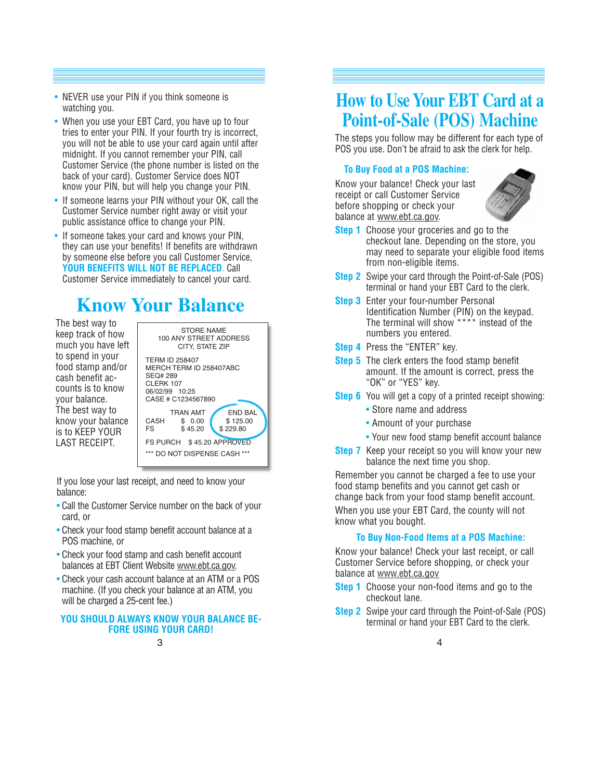- NEVER use your PIN if you think someone is watching you.
- When you use your EBT Card, you have up to four tries to enter your PIN. If your fourth try is incorrect, you will not be able to use your card again until after midnight. If you cannot remember your PIN, call Customer Service (the phone number is listed on the back of your card). Customer Service does NOT know your PIN, but will help you change your PIN.
- If someone learns your PIN without your OK, call the Customer Service number right away or visit your public assistance office to change your PIN.
- If someone takes your card and knows your PIN, they can use your benefits! If benefits are withdrawn by someone else before you call Customer Service, **YOUR BENEFITS WILL NOT BE REPLACED**. Call Customer Service immediately to cancel your card.

# **Know Your Balance**

The best way to keep track of how much you have left to spend in your food stamp and/or cash benefit accounts is to know your balance. The best way to know your balance is to KEEP YOUR LAST RECEIPT.

STORE NAME 100 ANY STREET ADDRESS CITY, STATE ZIP TERM ID 258407 MERCH TERM ID 258407ABC SEQ# 289 **CLERK 107** 06/02/99 10:25 CASE # C1234567890 TRAN AMT END BAL<br>\$ 0.00 \$ 125.00 CASH \$ 0.00 \$ 125.00<br>FS \$ 45.20 \$ 229.80  $$229.80$ FS PURCH \$45.20 APPROVED \*\*\* DO NOT DISPENSE CASH \*\*\*

If you lose your last receipt, and need to know your balance:

- Call the Customer Service number on the back of your card, or
- Check your food stamp benefit account balance at a POS machine, or
- Check your food stamp and cash benefit account balances at EBT Client Website www.ebt.ca.gov.
- Check your cash account balance at an ATM or a POS machine. (If you check your balance at an ATM, you will be charged a 25-cent fee.)

#### **YOU SHOULD ALWAYS KNOW YOUR BALANCE BE-FORE USING YOUR CARD!**

# **How to Use Your EBT Card at a Point-of-Sale (POS) Machine**

The steps you follow may be different for each type of POS you use. Don't be afraid to ask the clerk for help.

#### **To Buy Food at a POS Machine:**

Know your balance! Check your last receipt or call Customer Service before shopping or check your balance at www.ebt.ca.gov.



- **Step 1** Choose your groceries and go to the checkout lane. Depending on the store, you may need to separate your eligible food items from non-eligible items.
- **Step 2** Swipe your card through the Point-of-Sale (POS) terminal or hand your EBT Card to the clerk.
- **Step 3** Enter your four-number Personal Identification Number (PIN) on the keypad. The terminal will show \*\*\*\* instead of the numbers you entered.
- **Step 4** Press the "ENTER" key.
- **Step 5** The clerk enters the food stamp benefit amount. If the amount is correct, press the "OK" or "YES" key.
- **Step 6** You will get a copy of a printed receipt showing:
	- Store name and address
	- Amount of your purchase
	- Your new food stamp benefit account balance
- **Step 7** Keep your receipt so you will know your new balance the next time you shop.

Remember you cannot be charged a fee to use your food stamp benefits and you cannot get cash or change back from your food stamp benefit account.

When you use your EBT Card, the county will not know what you bought.

#### **To Buy Non-Food Items at a POS Machine:**

Know your balance! Check your last receipt, or call Customer Service before shopping, or check your balance at www.ebt.ca.gov

- **Step 1** Choose your non-food items and go to the checkout lane.
- **Step 2** Swipe your card through the Point-of-Sale (POS) terminal or hand your EBT Card to the clerk.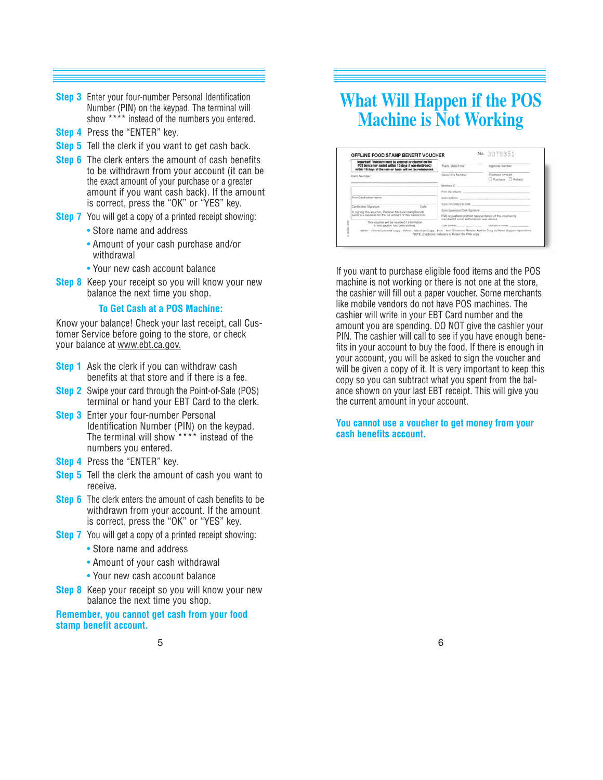- **Step 3** Enter your four-number Personal Identification Number (PIN) on the keypad. The terminal will show \*\*\*\* instead of the numbers you entered.
- **Step 4** Press the "ENTER" key.
- **Step 5** Tell the clerk if you want to get cash back.
- **Step 6** The clerk enters the amount of cash benefits to be withdrawn from your account (it can be the exact amount of your purchase or a greater amount if you want cash back). If the amount is correct, press the "OK" or "YES" key.
- **Step 7** You will get a copy of a printed receipt showing:
	- Store name and address
	- Amount of your cash purchase and/or withdrawal
	- Your new cash account balance
- **Step 8** Keep your receipt so you will know your new balance the next time you shop.

#### **To Get Cash at a POS Machine:**

Know your balance! Check your last receipt, call Customer Service before going to the store, or check your balance at www.ebt.ca.gov.

- **Step 1** Ask the clerk if you can withdraw cash benefits at that store and if there is a fee.
- **Step 2** Swipe your card through the Point-of-Sale (POS) terminal or hand your EBT Card to the clerk.
- **Step 3** Enter your four-number Personal Identification Number (PIN) on the keypad. The terminal will show \*\*\*\* instead of the numbers you entered.
- **Step 4** Press the "ENTER" key.
- **Step 5** Tell the clerk the amount of cash you want to receive.
- **Step 6** The clerk enters the amount of cash benefits to be withdrawn from your account. If the amount is correct, press the "OK" or "YES" key.
- **Step 7** You will get a copy of a printed receipt showing:
	- Store name and address
	- Amount of your cash withdrawal
	- Your new cash account balance
- **Step 8** Keep your receipt so you will know your new balance the next time you shop.

**Remember, you cannot get cash from your food stamp benefit account.**

# **What Will Happen if the POS Machine is Not Working**

| important! Vouchers must be entered or cleared on the<br>POS device (or mailed within 10 days if non-electronic) | Trans. Date/Time                                           | Accroval Number                          |
|------------------------------------------------------------------------------------------------------------------|------------------------------------------------------------|------------------------------------------|
| within 15 days of the sale or funds will not be reimbursed.                                                      |                                                            |                                          |
| Card Number:                                                                                                     | Store FNS Number                                           | Purchase Amount<br>Rechase <b>Returd</b> |
|                                                                                                                  | Merchant ID                                                |                                          |
|                                                                                                                  | Print Store Name                                           |                                          |
| Print Cantholder Name                                                                                            |                                                            |                                          |
| Date<br>Cardholder Signature<br>In signing this voucher. I believe that food stamp benefit                       | Store City/State/Zip Code                                  |                                          |
|                                                                                                                  | Stere Supervisor/Clerk Signature                           |                                          |
| funds are available for the full amount of this transaction.                                                     | FNS regulations prohibit representation of this voucher by |                                          |
| This youcher will be rejected if information<br>in this section has been alloyed.                                | merchant if yoice authorization was denied                 | Clovinator's tryliars                    |

If you want to purchase eligible food items and the POS machine is not working or there is not one at the store, the cashier will fill out a paper voucher. Some merchants like mobile vendors do not have POS machines. The cashier will write in your EBT Card number and the amount you are spending. DO NOT give the cashier your PIN. The cashier will call to see if you have enough benefits in your account to buy the food. If there is enough in your account, you will be asked to sign the voucher and will be given a copy of it. It is very important to keep this copy so you can subtract what you spent from the balance shown on your last EBT receipt. This will give you the current amount in your account.

**You cannot use a voucher to get money from your cash benefits account.**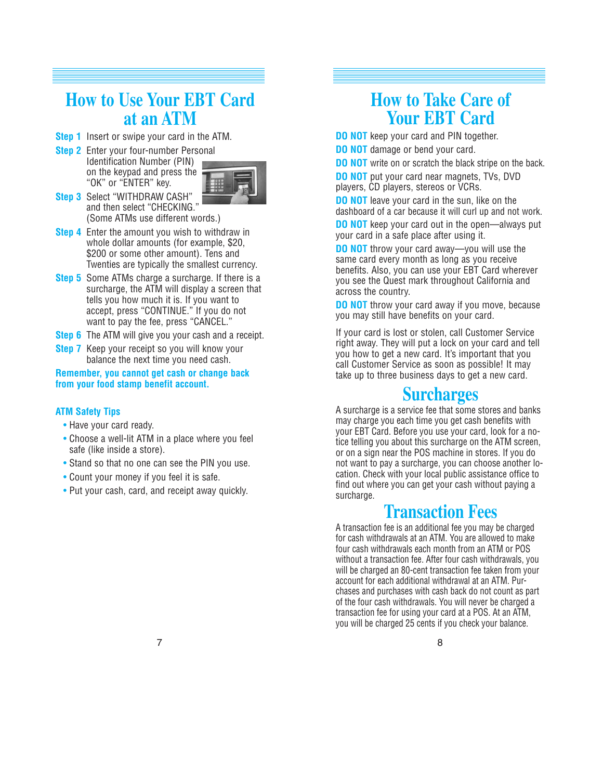### **How to Use Your EBT Card at an ATM**

- **Step 1** Insert or swipe your card in the ATM.
- **Step 2** Enter your four-number Personal Identification Number (PIN) on the keypad and press the "OK" or "ENTER" key.



- **Step 3** Select "WITHDRAW CASH" and then select "CHECKING." (Some ATMs use different words.)
- **Step 4** Enter the amount you wish to withdraw in whole dollar amounts (for example, \$20, \$200 or some other amount). Tens and Twenties are typically the smallest currency.
- **Step 5** Some ATMs charge a surcharge. If there is a surcharge, the ATM will display a screen that tells you how much it is. If you want to accept, press "CONTINUE." If you do not want to pay the fee, press "CANCEL."
- **Step 6** The ATM will give you your cash and a receipt.
- **Step 7** Keep your receipt so you will know your balance the next time you need cash.

**Remember, you cannot get cash or change back from your food stamp benefit account.**

#### **ATM Safety Tips**

- Have your card ready.
- Choose a well-lit ATM in a place where you feel safe (like inside a store).
- Stand so that no one can see the PIN you use.
- Count your money if you feel it is safe.
- Put your cash, card, and receipt away quickly.

# **How to Take Care of Your EBT Card**

**DO NOT** keep your card and PIN together.

**DO NOT** damage or bend your card.

**DO NOT** write on or scratch the black stripe on the back.

**DO NOT** put your card near magnets, TVs, DVD players, CD players, stereos or VCRs.

**DO NOT** leave your card in the sun, like on the dashboard of a car because it will curl up and not work.

**DO NOT** keep your card out in the open—always put your card in a safe place after using it.

**DO NOT** throw your card away—you will use the same card every month as long as you receive benefits. Also, you can use your EBT Card wherever you see the Quest mark throughout California and across the country.

**DO NOT** throw your card away if you move, because you may still have benefits on your card.

If your card is lost or stolen, call Customer Service right away. They will put a lock on your card and tell you how to get a new card. It's important that you call Customer Service as soon as possible! It may take up to three business days to get a new card.

### **Surcharges**

A surcharge is a service fee that some stores and banks may charge you each time you get cash benefits with your EBT Card. Before you use your card, look for a notice telling you about this surcharge on the ATM screen, or on a sign near the POS machine in stores. If you do not want to pay a surcharge, you can choose another location. Check with your local public assistance office to find out where you can get your cash without paying a surcharge.

### **Transaction Fees**

A transaction fee is an additional fee you may be charged for cash withdrawals at an ATM. You are allowed to make four cash withdrawals each month from an ATM or POS without a transaction fee. After four cash withdrawals, you will be charged an 80-cent transaction fee taken from your account for each additional withdrawal at an ATM. Purchases and purchases with cash back do not count as part of the four cash withdrawals. You will never be charged a transaction fee for using your card at a POS. At an ATM, you will be charged 25 cents if you check your balance.